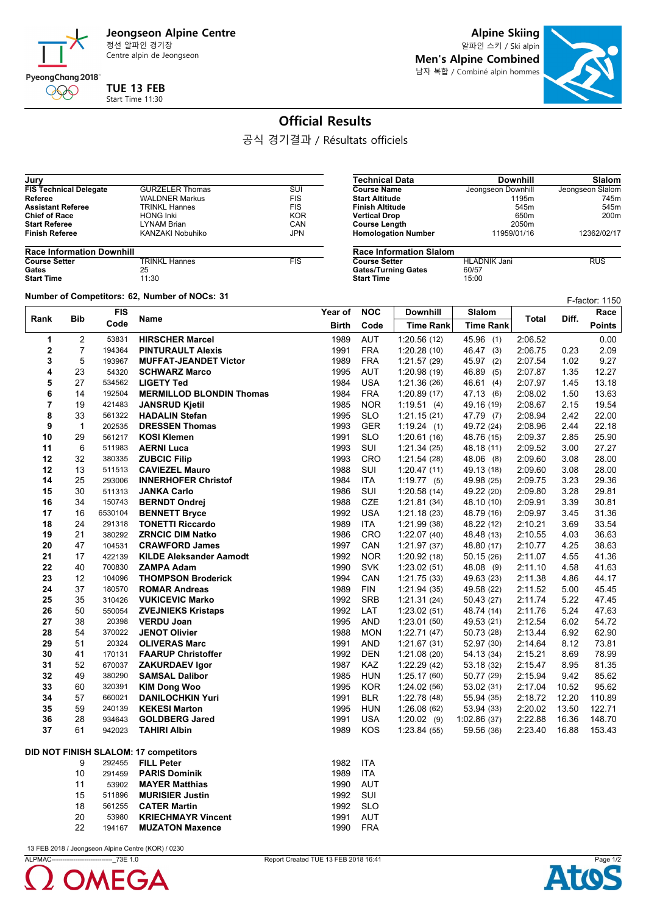

Centre alpin de Jeongseon

**Alpine Skiing**

알파인 스키 / Ski alpin **Men's Alpine Combined** 남자 복합 / Combiné alpin hommes



## **Official Results**

공식 경기결과 / Résultats officiels

| <b>FIS Technical Delegate</b> | <b>GURZELER Thomas</b> | SUI        |
|-------------------------------|------------------------|------------|
| Referee                       | <b>WALDNER Markus</b>  | <b>FIS</b> |
| <b>Assistant Referee</b>      | <b>TRINKL Hannes</b>   | <b>FIS</b> |
| <b>Chief of Race</b>          | <b>HONG Inki</b>       | <b>KOR</b> |
| <b>Start Referee</b>          | <b>LYNAM Brian</b>     | CAN        |
| <b>Finish Referee</b>         | KANZAKI Nobuhiko       | <b>JPN</b> |

| <b>Race Information Downhill</b> |                      |            |
|----------------------------------|----------------------|------------|
| <b>Course Setter</b>             | <b>TRINKL Hannes</b> | <b>FIS</b> |
| Gates                            | 25                   |            |
| <b>Start Time</b>                | 11:30                |            |

**Number of Competitors: 62, Number of NOCs: <sup>31</sup>** F-factor: 1150

| Technical Data             | <b>Downhill</b>    | Slalom           |
|----------------------------|--------------------|------------------|
| <b>Course Name</b>         | Jeongseon Downhill | Jeongseon Slalom |
| <b>Start Altitude</b>      | 1195m              | 745m             |
| <b>Finish Altitude</b>     | 545m               | 545m             |
| <b>Vertical Drop</b>       | 650 <sub>m</sub>   | 200 <sub>m</sub> |
| <b>Course Length</b>       | 2050m              |                  |
| <b>Homologation Number</b> | 11959/01/16        | 12362/02/17      |
| Baas Information Olalam    |                    |                  |

| <b>Race Information Slalom</b> |                     |            |  |  |  |
|--------------------------------|---------------------|------------|--|--|--|
| <b>Course Setter</b>           | <b>HLADNIK Jani</b> | <b>RUS</b> |  |  |  |
| <b>Gates/Turning Gates</b>     | 60/57               |            |  |  |  |
| <b>Start Time</b>              | 15:00               |            |  |  |  |

| Bib            |                | <b>FIS</b> |                                       | Year of      | <b>NOC</b> | <b>Downhill</b>  | Slalom           |              |       | Race          |
|----------------|----------------|------------|---------------------------------------|--------------|------------|------------------|------------------|--------------|-------|---------------|
| Rank           |                | Code       | Name                                  | <b>Birth</b> | Code       | <b>Time Rank</b> | <b>Time Rank</b> | <b>Total</b> | Diff. | <b>Points</b> |
| 1              | 2              | 53831      | <b>HIRSCHER Marcel</b>                | 1989         | <b>AUT</b> | 1:20.56(12)      | 45.96 (1)        | 2:06.52      |       | 0.00          |
| 2              | $\overline{7}$ | 194364     | <b>PINTURAULT Alexis</b>              | 1991         | <b>FRA</b> | 1:20.28(10)      | 46.47 (3)        | 2:06.75      | 0.23  | 2.09          |
| 3              | 5              | 193967     | <b>MUFFAT-JEANDET Victor</b>          | 1989         | <b>FRA</b> | 1:21.57(29)      | 45.97 (2)        | 2:07.54      | 1.02  | 9.27          |
| 4              | 23             | 54320      | <b>SCHWARZ Marco</b>                  | 1995         | <b>AUT</b> | 1:20.98(19)      | 46.89 (5)        | 2:07.87      | 1.35  | 12.27         |
| 5              | 27             | 534562     | <b>LIGETY Ted</b>                     | 1984         | <b>USA</b> | 1:21.36(26)      | 46.61 (4)        | 2:07.97      | 1.45  | 13.18         |
| 6              | 14             | 192504     | <b>MERMILLOD BLONDIN Thomas</b>       | 1984         | <b>FRA</b> | 1:20.89(17)      | 47.13 (6)        | 2:08.02      | 1.50  | 13.63         |
| $\overline{7}$ | 19             | 421483     | <b>JANSRUD Kjetil</b>                 | 1985         | <b>NOR</b> | 1:19.51(4)       | 49.16 (19)       | 2:08.67      | 2.15  | 19.54         |
| 8              | 33             | 561322     | <b>HADALIN Stefan</b>                 | 1995         | <b>SLO</b> | 1:21.15(21)      | 47.79 (7)        | 2:08.94      | 2.42  | 22.00         |
| 9              | $\mathbf{1}$   | 202535     | <b>DRESSEN Thomas</b>                 | 1993         | GER        | 1.19.24(1)       | 49.72 (24)       | 2:08.96      | 2.44  | 22.18         |
| 10             | 29             | 561217     | <b>KOSI Klemen</b>                    | 1991         | <b>SLO</b> | 1:20.61(16)      | 48.76 (15)       | 2:09.37      | 2.85  | 25.90         |
| 11             | 6              | 511983     | <b>AERNI Luca</b>                     | 1993         | SUI        | 1:21.34(25)      | 48.18 (11)       | 2:09.52      | 3.00  | 27.27         |
| 12             | 32             | 380335     | <b>ZUBCIC Filip</b>                   | 1993         | <b>CRO</b> | 1.21.54(28)      | 48.06 (8)        | 2:09.60      | 3.08  | 28.00         |
| 12             | 13             | 511513     | <b>CAVIEZEL Mauro</b>                 | 1988         | SUI        | 1:20.47(11)      | 49.13 (18)       | 2:09.60      | 3.08  | 28.00         |
| 14             | 25             | 293006     | <b>INNERHOFER Christof</b>            | 1984         | <b>ITA</b> | 1:19.77(5)       | 49.98 (25)       | 2:09.75      | 3.23  | 29.36         |
| 15             | 30             | 511313     | <b>JANKA Carlo</b>                    | 1986         | SUI        | 1:20.58(14)      | 49.22 (20)       | 2:09.80      | 3.28  | 29.81         |
| 16             | 34             | 150743     | <b>BERNDT Ondrej</b>                  | 1988         | <b>CZE</b> | 1:21.81(34)      | 48.10 (10)       | 2:09.91      | 3.39  | 30.81         |
| 17             | 16             | 6530104    | <b>BENNETT Bryce</b>                  | 1992         | <b>USA</b> | 1.21.18(23)      | 48.79 (16)       | 2:09.97      | 3.45  | 31.36         |
| 18             | 24             | 291318     | <b>TONETTI Riccardo</b>               | 1989         | <b>ITA</b> | 1.21.99(38)      | 48.22 (12)       | 2:10.21      | 3.69  | 33.54         |
| 19             | 21             | 380292     | <b>ZRNCIC DIM Natko</b>               | 1986         | <b>CRO</b> | 1:22.07(40)      | 48.48 (13)       | 2:10.55      | 4.03  | 36.63         |
| 20             | 47             | 104531     | <b>CRAWFORD James</b>                 | 1997         | CAN        | 1.21.97(37)      | 48.80 (17)       | 2:10.77      | 4.25  | 38.63         |
| 21             | 17             | 422139     | <b>KILDE Aleksander Aamodt</b>        | 1992         | <b>NOR</b> | 1:20.92(18)      | 50.15(26)        | 2:11.07      | 4.55  | 41.36         |
| 22             | 40             | 700830     | <b>ZAMPA Adam</b>                     | 1990         | <b>SVK</b> | 1:23.02(51)      | 48.08 (9)        | 2:11.10      | 4.58  | 41.63         |
| 23             | 12             | 104096     | <b>THOMPSON Broderick</b>             | 1994         | CAN        | 1:21.75(33)      | 49.63 (23)       | 2:11.38      | 4.86  | 44.17         |
| 24             | 37             | 180570     | <b>ROMAR Andreas</b>                  | 1989         | <b>FIN</b> | 1:21.94(35)      | 49.58 (22)       | 2:11.52      | 5.00  | 45.45         |
| 25             | 35             | 310426     | <b>VUKICEVIC Marko</b>                | 1992         | <b>SRB</b> | 1:21.31(24)      | 50.43 (27)       | 2:11.74      | 5.22  | 47.45         |
| 26             | 50             | 550054     | <b>ZVEJNIEKS Kristaps</b>             | 1992         | LAT        | 1:23.02(51)      | 48.74 (14)       | 2:11.76      | 5.24  | 47.63         |
| 27             | 38             | 20398      | <b>VERDU Joan</b>                     | 1995         | <b>AND</b> | 1:23.01(50)      | 49.53 (21)       | 2:12.54      | 6.02  | 54.72         |
| 28             | 54             | 370022     | <b>JENOT Olivier</b>                  | 1988         | <b>MON</b> | 1:22.71(47)      | 50.73 (28)       | 2:13.44      | 6.92  | 62.90         |
| 29             | 51             | 20324      | <b>OLIVERAS Marc</b>                  | 1991         | <b>AND</b> | 1:21.67(31)      | 52.97 (30)       | 2:14.64      | 8.12  | 73.81         |
| 30             | 41             | 170131     | <b>FAARUP Christoffer</b>             | 1992         | <b>DEN</b> | 1:21.08(20)      | 54.13 (34)       | 2:15.21      | 8.69  | 78.99         |
| 31             | 52             | 670037     | <b>ZAKURDAEV Igor</b>                 | 1987         | <b>KAZ</b> | 1:22.29(42)      | 53.18 (32)       | 2:15.47      | 8.95  | 81.35         |
| 32             | 49             | 380290     | <b>SAMSAL Dalibor</b>                 | 1985         | <b>HUN</b> | 1:25.17(60)      | 50.77 (29)       | 2:15.94      | 9.42  | 85.62         |
| 33             | 60             | 320391     | <b>KIM Dong Woo</b>                   | 1995         | <b>KOR</b> | 1:24.02(56)      | 53.02 (31)       | 2:17.04      | 10.52 | 95.62         |
| 34             | 57             | 660021     | <b>DANILOCHKIN Yuri</b>               | 1991         | <b>BLR</b> | 1:22.78(48)      | 55.94 (35)       | 2:18.72      | 12.20 | 110.89        |
| 35             | 59             | 240139     | <b>KEKESI Marton</b>                  | 1995         | <b>HUN</b> | 1:26.08(62)      | 53.94 (33)       | 2:20.02      | 13.50 | 122.71        |
| 36             | 28             | 934643     | <b>GOLDBERG Jared</b>                 | 1991         | <b>USA</b> | $1:20.02$ (9)    | 1:02.86(37)      | 2:22.88      | 16.36 | 148.70        |
| 37             | 61             | 942023     | <b>TAHIRI Albin</b>                   | 1989         | KOS        | 1:23.84(55)      | 59.56 (36)       | 2:23.40      | 16.88 | 153.43        |
|                |                |            | DID NOT FINISH SLALOM: 17 competitors |              |            |                  |                  |              |       |               |
|                | 9              | 292455     | <b>FILL Peter</b>                     | 1982         | <b>ITA</b> |                  |                  |              |       |               |
|                | 10             | 291459     | <b>PARIS Dominik</b>                  | 1989         | <b>ITA</b> |                  |                  |              |       |               |
|                | 11             | 53902      | <b>MAYER Matthias</b>                 | 1990         | <b>AUT</b> |                  |                  |              |       |               |
|                | 15             | 511896     | <b>MURISIER Justin</b>                | 1992         | SUI        |                  |                  |              |       |               |
|                | 18             | 561255     | <b>CATER Martin</b>                   | 1992         | <b>SLO</b> |                  |                  |              |       |               |
|                | 20             | 53980      | <b>KRIECHMAYR Vincent</b>             | 1991         | <b>AUT</b> |                  |                  |              |       |               |
|                | 22             | 194167     | <b>MUZATON Maxence</b>                | 1990         | <b>FRA</b> |                  |                  |              |       |               |

13 FEB 2018 / Jeongseon Alpine Centre (KOR) / 0230